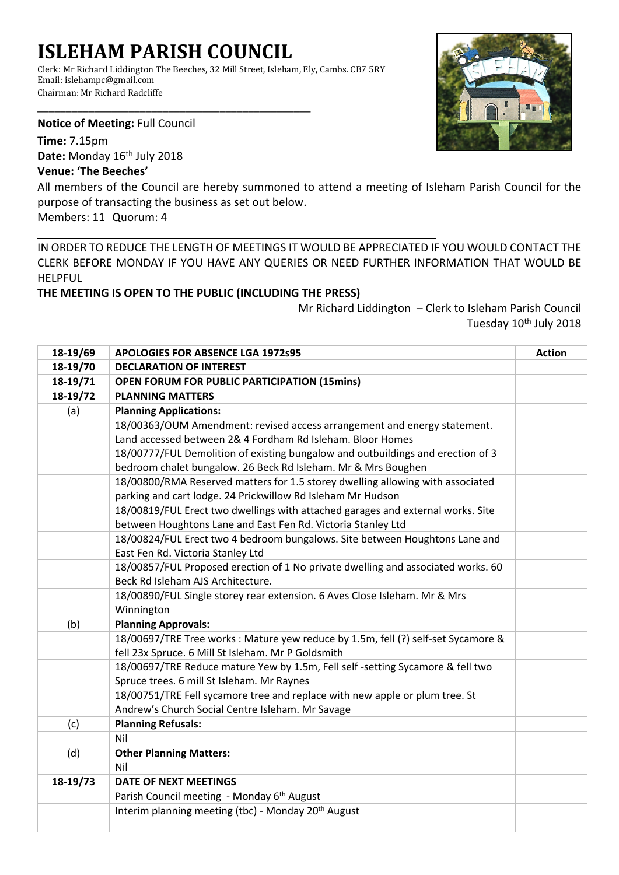## **ISLEHAM PARISH COUNCIL**

\_\_\_\_\_\_\_\_\_\_\_\_\_\_\_\_\_\_\_\_\_\_\_\_\_\_\_\_\_\_\_\_\_\_\_\_\_\_\_\_\_\_\_\_\_\_\_\_

Clerk: Mr Richard Liddington The Beeches, 32 Mill Street, Isleham, Ely, Cambs. CB7 5RY Email: islehampc@gmail.com Chairman: Mr Richard Radcliffe

**Notice of Meeting:** Full Council

**Time:** 7.15pm Date: Monday 16<sup>th</sup> July 2018

## **Venue: 'The Beeches'**

All members of the Council are hereby summoned to attend a meeting of Isleham Parish Council for the purpose of transacting the business as set out below.

Members: 11 Quorum: 4

IN ORDER TO REDUCE THE LENGTH OF MEETINGS IT WOULD BE APPRECIATED IF YOU WOULD CONTACT THE CLERK BEFORE MONDAY IF YOU HAVE ANY QUERIES OR NEED FURTHER INFORMATION THAT WOULD BE HELPFUL

**THE MEETING IS OPEN TO THE PUBLIC (INCLUDING THE PRESS)**

Mr Richard Liddington – Clerk to Isleham Parish Council Tuesday 10<sup>th</sup> July 2018

| 18-19/69 | <b>APOLOGIES FOR ABSENCE LGA 1972s95</b>                                                                                                | <b>Action</b> |
|----------|-----------------------------------------------------------------------------------------------------------------------------------------|---------------|
| 18-19/70 | <b>DECLARATION OF INTEREST</b>                                                                                                          |               |
| 18-19/71 | <b>OPEN FORUM FOR PUBLIC PARTICIPATION (15mins)</b>                                                                                     |               |
| 18-19/72 | <b>PLANNING MATTERS</b>                                                                                                                 |               |
| (a)      | <b>Planning Applications:</b>                                                                                                           |               |
|          | 18/00363/OUM Amendment: revised access arrangement and energy statement.                                                                |               |
|          | Land accessed between 2& 4 Fordham Rd Isleham. Bloor Homes                                                                              |               |
|          | 18/00777/FUL Demolition of existing bungalow and outbuildings and erection of 3                                                         |               |
|          | bedroom chalet bungalow. 26 Beck Rd Isleham. Mr & Mrs Boughen                                                                           |               |
|          | 18/00800/RMA Reserved matters for 1.5 storey dwelling allowing with associated                                                          |               |
|          | parking and cart lodge. 24 Prickwillow Rd Isleham Mr Hudson                                                                             |               |
|          | 18/00819/FUL Erect two dwellings with attached garages and external works. Site                                                         |               |
|          | between Houghtons Lane and East Fen Rd. Victoria Stanley Ltd                                                                            |               |
|          | 18/00824/FUL Erect two 4 bedroom bungalows. Site between Houghtons Lane and                                                             |               |
|          | East Fen Rd. Victoria Stanley Ltd                                                                                                       |               |
|          | 18/00857/FUL Proposed erection of 1 No private dwelling and associated works. 60                                                        |               |
|          | Beck Rd Isleham AJS Architecture.                                                                                                       |               |
|          | 18/00890/FUL Single storey rear extension. 6 Aves Close Isleham. Mr & Mrs                                                               |               |
|          | Winnington                                                                                                                              |               |
| (b)      | <b>Planning Approvals:</b>                                                                                                              |               |
|          | 18/00697/TRE Tree works : Mature yew reduce by 1.5m, fell (?) self-set Sycamore &<br>fell 23x Spruce. 6 Mill St Isleham. Mr P Goldsmith |               |
|          | 18/00697/TRE Reduce mature Yew by 1.5m, Fell self -setting Sycamore & fell two                                                          |               |
|          | Spruce trees. 6 mill St Isleham. Mr Raynes                                                                                              |               |
|          | 18/00751/TRE Fell sycamore tree and replace with new apple or plum tree. St                                                             |               |
|          | Andrew's Church Social Centre Isleham. Mr Savage                                                                                        |               |
| (c)      | <b>Planning Refusals:</b>                                                                                                               |               |
|          | Nil                                                                                                                                     |               |
| (d)      | <b>Other Planning Matters:</b>                                                                                                          |               |
|          | Nil                                                                                                                                     |               |
| 18-19/73 | <b>DATE OF NEXT MEETINGS</b>                                                                                                            |               |
|          | Parish Council meeting - Monday 6 <sup>th</sup> August                                                                                  |               |
|          | Interim planning meeting (tbc) - Monday 20 <sup>th</sup> August                                                                         |               |
|          |                                                                                                                                         |               |